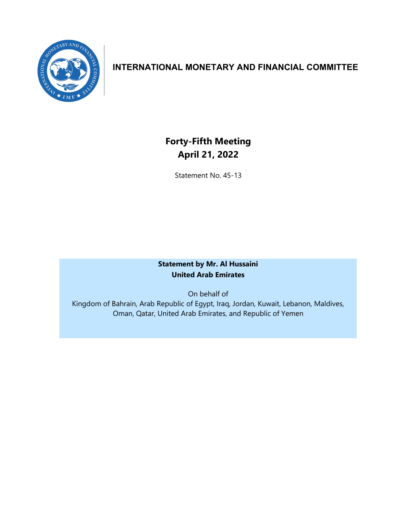

## **INTERNATIONAL MONETARY AND FINANCIAL COMMITTEE**

# **Forty-Fifth Meeting April 21, 2022**

Statement No. 45-13

### **Statement by Mr. Al Hussaini United Arab Emirates**

On behalf of Kingdom of Bahrain, Arab Republic of Egypt, Iraq, Jordan, Kuwait, Lebanon, Maldives, Oman, Qatar, United Arab Emirates, and Republic of Yemen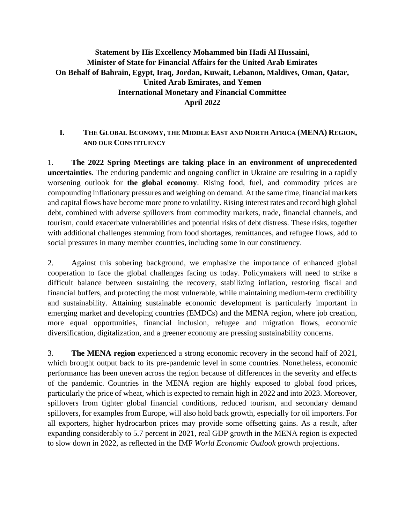### **Statement by His Excellency Mohammed bin Hadi Al Hussaini, Minister of State for Financial Affairs for the United Arab Emirates On Behalf of Bahrain, Egypt, Iraq, Jordan, Kuwait, Lebanon, Maldives, Oman, Qatar, United Arab Emirates, and Yemen International Monetary and Financial Committee April 2022**

#### **I. THE GLOBAL ECONOMY, THE MIDDLE EAST AND NORTH AFRICA (MENA) REGION, AND OUR CONSTITUENCY**

1. **The 2022 Spring Meetings are taking place in an environment of unprecedented uncertainties**. The enduring pandemic and ongoing conflict in Ukraine are resulting in a rapidly worsening outlook for **the global economy**. Rising food, fuel, and commodity prices are compounding inflationary pressures and weighing on demand. At the same time, financial markets and capital flows have become more prone to volatility. Rising interest rates and record high global debt, combined with adverse spillovers from commodity markets, trade, financial channels, and tourism, could exacerbate vulnerabilities and potential risks of debt distress. These risks, together with additional challenges stemming from food shortages, remittances, and refugee flows, add to social pressures in many member countries, including some in our constituency.

2. Against this sobering background, we emphasize the importance of enhanced global cooperation to face the global challenges facing us today. Policymakers will need to strike a difficult balance between sustaining the recovery, stabilizing inflation, restoring fiscal and financial buffers, and protecting the most vulnerable, while maintaining medium-term credibility and sustainability. Attaining sustainable economic development is particularly important in emerging market and developing countries (EMDCs) and the MENA region, where job creation, more equal opportunities, financial inclusion, refugee and migration flows, economic diversification, digitalization, and a greener economy are pressing sustainability concerns.

3. **The MENA region** experienced a strong economic recovery in the second half of 2021, which brought output back to its pre-pandemic level in some countries. Nonetheless, economic performance has been uneven across the region because of differences in the severity and effects of the pandemic. Countries in the MENA region are highly exposed to global food prices, particularly the price of wheat, which is expected to remain high in 2022 and into 2023. Moreover, spillovers from tighter global financial conditions, reduced tourism, and secondary demand spillovers, for examples from Europe, will also hold back growth, especially for oil importers. For all exporters, higher hydrocarbon prices may provide some offsetting gains. As a result, after expanding considerably to 5.7 percent in 2021, real GDP growth in the MENA region is expected to slow down in 2022, as reflected in the IMF *World Economic Outlook* growth projections.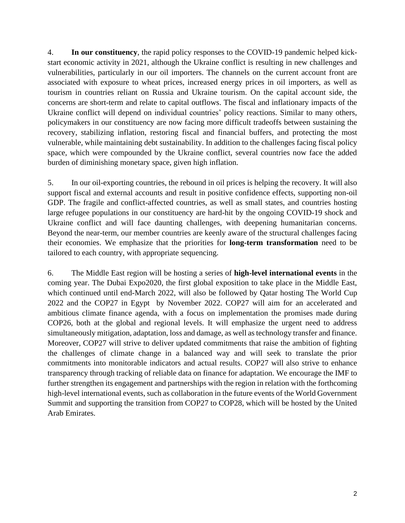4. **In our constituency**, the rapid policy responses to the COVID-19 pandemic helped kickstart economic activity in 2021, although the Ukraine conflict is resulting in new challenges and vulnerabilities, particularly in our oil importers. The channels on the current account front are associated with exposure to wheat prices, increased energy prices in oil importers, as well as tourism in countries reliant on Russia and Ukraine tourism. On the capital account side, the concerns are short-term and relate to capital outflows. The fiscal and inflationary impacts of the Ukraine conflict will depend on individual countries' policy reactions. Similar to many others, policymakers in our constituency are now facing more difficult tradeoffs between sustaining the recovery, stabilizing inflation, restoring fiscal and financial buffers, and protecting the most vulnerable, while maintaining debt sustainability. In addition to the challenges facing fiscal policy space, which were compounded by the Ukraine conflict, several countries now face the added burden of diminishing monetary space, given high inflation.

5. In our oil-exporting countries, the rebound in oil prices is helping the recovery. It will also support fiscal and external accounts and result in positive confidence effects, supporting non-oil GDP. The fragile and conflict-affected countries, as well as small states, and countries hosting large refugee populations in our constituency are hard-hit by the ongoing COVID-19 shock and Ukraine conflict and will face daunting challenges, with deepening humanitarian concerns. Beyond the near-term, our member countries are keenly aware of the structural challenges facing their economies. We emphasize that the priorities for **long-term transformation** need to be tailored to each country, with appropriate sequencing.

6. The Middle East region will be hosting a series of **high-level international events** in the coming year. The Dubai Expo2020, the first global exposition to take place in the Middle East, which continued until end-March 2022, will also be followed by Qatar hosting The World Cup 2022 and the COP27 in Egypt by November 2022. COP27 will aim for an accelerated and ambitious climate finance agenda, with a focus on implementation the promises made during COP26, both at the global and regional levels. It will emphasize the urgent need to address simultaneously mitigation, adaptation, loss and damage, as well as technology transfer and finance. Moreover, COP27 will strive to deliver updated commitments that raise the ambition of fighting the challenges of climate change in a balanced way and will seek to translate the prior commitments into monitorable indicators and actual results. COP27 will also strive to enhance transparency through tracking of reliable data on finance for adaptation. We encourage the IMF to further strengthen its engagement and partnerships with the region in relation with the forthcoming high-level international events, such as collaboration in the future events of the World Government Summit and supporting the transition from COP27 to COP28, which will be hosted by the United Arab Emirates.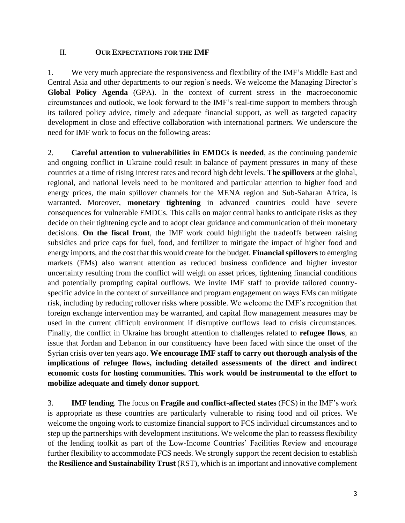#### II. **OUR EXPECTATIONS FOR THE IMF**

1. We very much appreciate the responsiveness and flexibility of the IMF's Middle East and Central Asia and other departments to our region's needs. We welcome the Managing Director's **Global Policy Agenda** (GPA). In the context of current stress in the macroeconomic circumstances and outlook, we look forward to the IMF's real-time support to members through its tailored policy advice, timely and adequate financial support, as well as targeted capacity development in close and effective collaboration with international partners. We underscore the need for IMF work to focus on the following areas:

2. **Careful attention to vulnerabilities in EMDCs is needed**, as the continuing pandemic and ongoing conflict in Ukraine could result in balance of payment pressures in many of these countries at a time of rising interest rates and record high debt levels. **The spillovers** at the global, regional, and national levels need to be monitored and particular attention to higher food and energy prices, the main spillover channels for the MENA region and Sub-Saharan Africa, is warranted. Moreover, **monetary tightening** in advanced countries could have severe consequences for vulnerable EMDCs. This calls on major central banks to anticipate risks as they decide on their tightening cycle and to adopt clear guidance and communication of their monetary decisions. **On the fiscal front**, the IMF work could highlight the tradeoffs between raising subsidies and price caps for fuel, food, and fertilizer to mitigate the impact of higher food and energy imports, and the cost that this would create for the budget. **Financial spillovers** to emerging markets (EMs) also warrant attention as reduced business confidence and higher investor uncertainty resulting from the conflict will weigh on asset prices, tightening financial conditions and potentially prompting capital outflows. We invite IMF staff to provide tailored countryspecific advice in the context of surveillance and program engagement on ways EMs can mitigate risk, including by reducing rollover risks where possible. We welcome the IMF's recognition that foreign exchange intervention may be warranted, and capital flow management measures may be used in the current difficult environment if disruptive outflows lead to crisis circumstances. Finally, the conflict in Ukraine has brought attention to challenges related to **refugee flows**, an issue that Jordan and Lebanon in our constituency have been faced with since the onset of the Syrian crisis over ten years ago. **We encourage IMF staff to carry out thorough analysis of the implications of refugee flows, including detailed assessments of the direct and indirect economic costs for hosting communities. This work would be instrumental to the effort to mobilize adequate and timely donor support**.

3. **IMF lending**. The focus on **Fragile and conflict-affected states** (FCS) in the IMF's work is appropriate as these countries are particularly vulnerable to rising food and oil prices. We welcome the ongoing work to customize financial support to FCS individual circumstances and to step up the partnerships with development institutions. We welcome the plan to reassess flexibility of the lending toolkit as part of the Low-Income Countries' Facilities Review and encourage further flexibility to accommodate FCS needs. We strongly support the recent decision to establish the **Resilience and Sustainability Trust** (RST), which is an important and innovative complement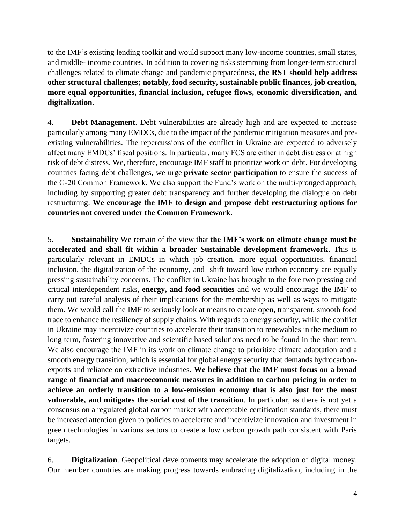to the IMF's existing lending toolkit and would support many low-income countries, small states, and middle- income countries. In addition to covering risks stemming from longer-term structural challenges related to climate change and pandemic preparedness, **the RST should help address other structural challenges; notably, food security, sustainable public finances, job creation, more equal opportunities, financial inclusion, refugee flows, economic diversification, and digitalization.**

4. **Debt Management**. Debt vulnerabilities are already high and are expected to increase particularly among many EMDCs, due to the impact of the pandemic mitigation measures and preexisting vulnerabilities. The repercussions of the conflict in Ukraine are expected to adversely affect many EMDCs' fiscal positions. In particular, many FCS are either in debt distress or at high risk of debt distress. We, therefore, encourage IMF staff to prioritize work on debt. For developing countries facing debt challenges, we urge **private sector participation** to ensure the success of the G-20 Common Framework. We also support the Fund's work on the multi-pronged approach, including by supporting greater debt transparency and further developing the dialogue on debt restructuring. **We encourage the IMF to design and propose debt restructuring options for countries not covered under the Common Framework**.

5. **Sustainability** We remain of the view that **the IMF's work on climate change must be accelerated and shall fit within a broader Sustainable development framework**. This is particularly relevant in EMDCs in which job creation, more equal opportunities, financial inclusion, the digitalization of the economy, and shift toward low carbon economy are equally pressing sustainability concerns. The conflict in Ukraine has brought to the fore two pressing and critical interdependent risks, **energy, and food securities** and we would encourage the IMF to carry out careful analysis of their implications for the membership as well as ways to mitigate them. We would call the IMF to seriously look at means to create open, transparent, smooth food trade to enhance the resiliency of supply chains. With regards to energy security, while the conflict in Ukraine may incentivize countries to accelerate their transition to renewables in the medium to long term, fostering innovative and scientific based solutions need to be found in the short term. We also encourage the IMF in its work on climate change to prioritize climate adaptation and a smooth energy transition, which is essential for global energy security that demands hydrocarbonexports and reliance on extractive industries. **We believe that the IMF must focus on a broad range of financial and macroeconomic measures in addition to carbon pricing in order to achieve an orderly transition to a low-emission economy that is also just for the most vulnerable, and mitigates the social cost of the transition**. In particular, as there is not yet a consensus on a regulated global carbon market with acceptable certification standards, there must be increased attention given to policies to accelerate and incentivize innovation and investment in green technologies in various sectors to create a low carbon growth path consistent with Paris targets.

6. **Digitalization**. Geopolitical developments may accelerate the adoption of digital money. Our member countries are making progress towards embracing digitalization, including in the